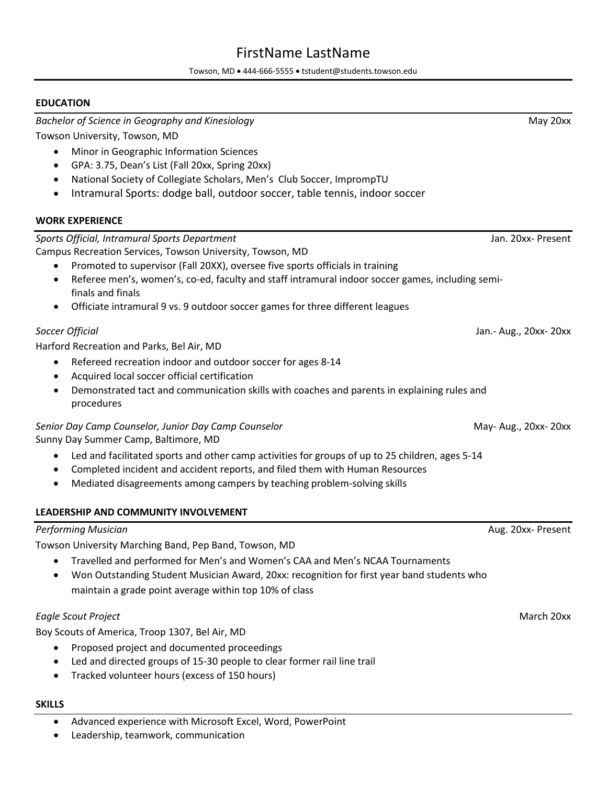# FirstName LastName

Towson, MD • 444-666-5555 • tstudent@students.towson.edu

#### **EDUCATION**

*Bachelor of Science in Geography and Kinesiology* May 20xx

Towson University, Towson, MD

- Minor in Geographic Information Sciences
- GPA: 3.75, Dean's List (Fall 20xx, Spring 20xx)
- National Society of Collegiate Scholars, Men's Club Soccer, ImprompTU
- Intramural Sports: dodge ball, outdoor soccer, table tennis, indoor soccer

#### **WORK EXPERIENCE**

*Sports Official, Intramural Sports Department* Jan. 20xx- Present

Campus Recreation Services, Towson University, Towson, MD

- Promoted to supervisor (Fall 20XX), oversee five sports officials in training
- Referee men's, women's, co-ed, faculty and staff intramural indoor soccer games, including semifinals and finals
- Officiate intramural 9 vs. 9 outdoor soccer games for three different leagues

Harford Recreation and Parks, Bel Air, MD

- Refereed recreation indoor and outdoor soccer for ages 8-14
- Acquired local soccer official certification
- Demonstrated tact and communication skills with coaches and parents in explaining rules and procedures

#### *Senior Day Camp Counselor, Junior Day Camp Counselor* May- Aug., 20xx- 20xx Sunny Day Summer Camp, Baltimore, MD

• Led and facilitated sports and other camp activities for groups of up to 25 children, ages 5-14

- Completed incident and accident reports, and filed them with Human Resources
- Mediated disagreements among campers by teaching problem-solving skills

#### **LEADERSHIP AND COMMUNITY INVOLVEMENT**

# *Performing Musician* Aug. 20xx- Present

Towson University Marching Band, Pep Band, Towson, MD

- Travelled and performed for Men's and Women's CAA and Men's NCAA Tournaments
- Won Outstanding Student Musician Award, 20xx: recognition for first year band students who maintain a grade point average within top 10% of class

## *Eagle Scout Project* March 20xx

Boy Scouts of America, Troop 1307, Bel Air, MD

- Proposed project and documented proceedings
- Led and directed groups of 15-30 people to clear former rail line trail
- Tracked volunteer hours (excess of 150 hours)

### **SKILLS**

- Advanced experience with Microsoft Excel, Word, PowerPoint
- Leadership, teamwork, communication

*Soccer Official* Jan.- Aug., 20xx- 20xx